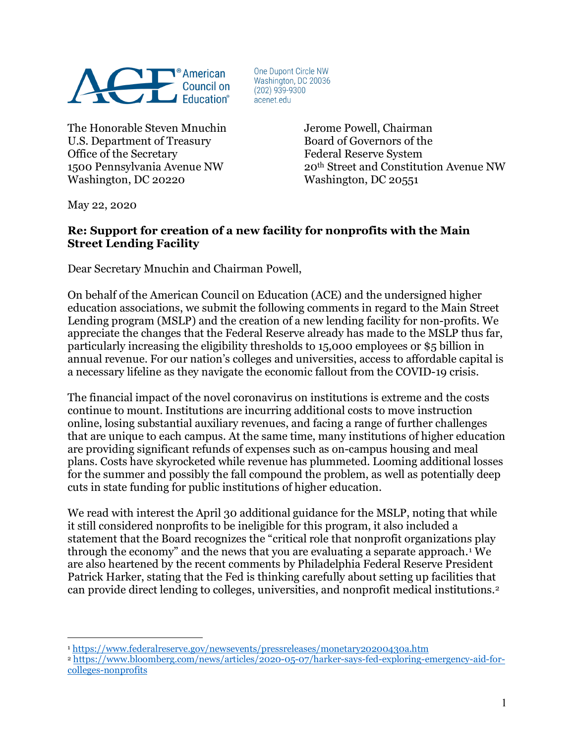

One Dupont Circle NW Washington, DC 20036  $(202)$  939-9300 acenet.edu

The Honorable Steven Mnuchin Jerome Powell, Chairman U.S. Department of Treasury Board of Governors of the Office of the Secretary **Federal Reserve System** Washington, DC 20220 Washington, DC 20551

1500 Pennsylvania Avenue NW 20th Street and Constitution Avenue NW

May 22, 2020

 $\overline{a}$ 

## **Re: Support for creation of a new facility for nonprofits with the Main Street Lending Facility**

Dear Secretary Mnuchin and Chairman Powell,

On behalf of the American Council on Education (ACE) and the undersigned higher education associations, we submit the following comments in regard to the Main Street Lending program (MSLP) and the creation of a new lending facility for non-profits. We appreciate the changes that the Federal Reserve already has made to the MSLP thus far, particularly increasing the eligibility thresholds to 15,000 employees or \$5 billion in annual revenue. For our nation's colleges and universities, access to affordable capital is a necessary lifeline as they navigate the economic fallout from the COVID-19 crisis.

The financial impact of the novel coronavirus on institutions is extreme and the costs continue to mount. Institutions are incurring additional costs to move instruction online, losing substantial auxiliary revenues, and facing a range of further challenges that are unique to each campus. At the same time, many institutions of higher education are providing significant refunds of expenses such as on-campus housing and meal plans. Costs have skyrocketed while revenue has plummeted. Looming additional losses for the summer and possibly the fall compound the problem, as well as potentially deep cuts in state funding for public institutions of higher education.

We read with interest the April 30 additional guidance for the MSLP, noting that while it still considered nonprofits to be ineligible for this program, it also included a statement that the Board recognizes the "critical role that nonprofit organizations play through the economy" and the news that you are evaluating a separate approach.[1](#page-0-0) We are also heartened by the recent comments by Philadelphia Federal Reserve President Patrick Harker, stating that the Fed is thinking carefully about setting up facilities that can provide direct lending to colleges, universities, and nonprofit medical institutions.[2](#page-0-1) 

<span id="page-0-0"></span><sup>1</sup> <https://www.federalreserve.gov/newsevents/pressreleases/monetary20200430a.htm>

<span id="page-0-1"></span><sup>2</sup> [https://www.bloomberg.com/news/articles/2020-05-07/harker-says-fed-exploring-emergency-aid-for](https://www.bloomberg.com/news/articles/2020-05-07/harker-says-fed-exploring-emergency-aid-for-colleges-nonprofits)[colleges-nonprofits](https://www.bloomberg.com/news/articles/2020-05-07/harker-says-fed-exploring-emergency-aid-for-colleges-nonprofits)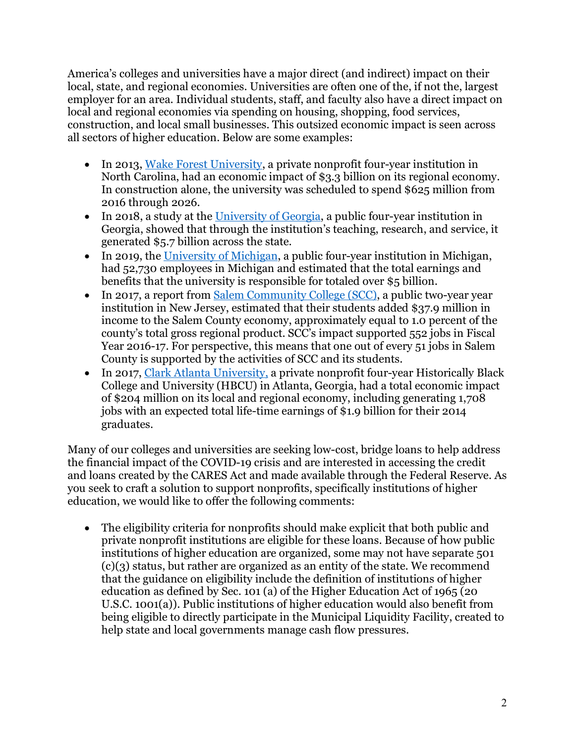America's colleges and universities have a major direct (and indirect) impact on their local, state, and regional economies. Universities are often one of the, if not the, largest employer for an area. Individual students, staff, and faculty also have a direct impact on local and regional economies via spending on housing, shopping, food services, construction, and local small businesses. This outsized economic impact is seen across all sectors of higher education. Below are some examples:

- In 2013, [Wake Forest University,](https://news.wfu.edu/2015/02/18/wake-forest-universitys-3-3-billion-economic-value-to-region-measured/) a private nonprofit four-year institution in North Carolina, had an economic impact of \$3.3 billion on its regional economy. In construction alone, the university was scheduled to spend \$625 million from 2016 through 2026.
- In 2018, a study at the [University of Georgia,](https://news.uga.edu/5-7-billion-ugas-economic-impact-grows/) a public four-year institution in Georgia, showed that through the institution's teaching, research, and service, it generated \$5.7 billion across the state.
- In 2019, the [University of Michigan,](https://impact.govrel.umich.edu/map/university-of-michigan-economic-impact-fy-2017/) a public four-year institution in Michigan, had 52,730 employees in Michigan and estimated that the total earnings and benefits that the university is responsible for totaled over \$5 billion.
- In 2017, a report from [Salem Community College](https://www.salemcc.edu/about-scc/economic-impact) (SCC), a public two-year year institution in New Jersey, estimated that their students added \$37.9 million in income to the Salem County economy, approximately equal to 1.0 percent of the county's total gross regional product. SCC's impact supported 552 jobs in Fiscal Year 2016-17. For perspective, this means that one out of every 51 jobs in Salem County is supported by the activities of SCC and its students.
- In 2017, Clark Atlanta [University,](https://secure.uncf.org/page/-/pdfs/Private%20HBCUs%20Finals%20PDFs%202/HBCU_FactSht_ClarkAtlantaUniv_5-17D.pdf) a private nonprofit four-year Historically Black College and University (HBCU) in Atlanta, Georgia, had a total economic impact of \$204 million on its local and regional economy, including generating 1,708 jobs with an expected total life-time earnings of \$1.9 billion for their 2014 graduates.

Many of our colleges and universities are seeking low-cost, bridge loans to help address the financial impact of the COVID-19 crisis and are interested in accessing the credit and loans created by the CARES Act and made available through the Federal Reserve. As you seek to craft a solution to support nonprofits, specifically institutions of higher education, we would like to offer the following comments:

• The eligibility criteria for nonprofits should make explicit that both public and private nonprofit institutions are eligible for these loans. Because of how public institutions of higher education are organized, some may not have separate 501  $(c)(3)$  status, but rather are organized as an entity of the state. We recommend that the guidance on eligibility include the definition of institutions of higher education as defined by Sec. 101 (a) of the Higher Education Act of 1965 (20 U.S.C. 1001(a)). Public institutions of higher education would also benefit from being eligible to directly participate in the Municipal Liquidity Facility, created to help state and local governments manage cash flow pressures.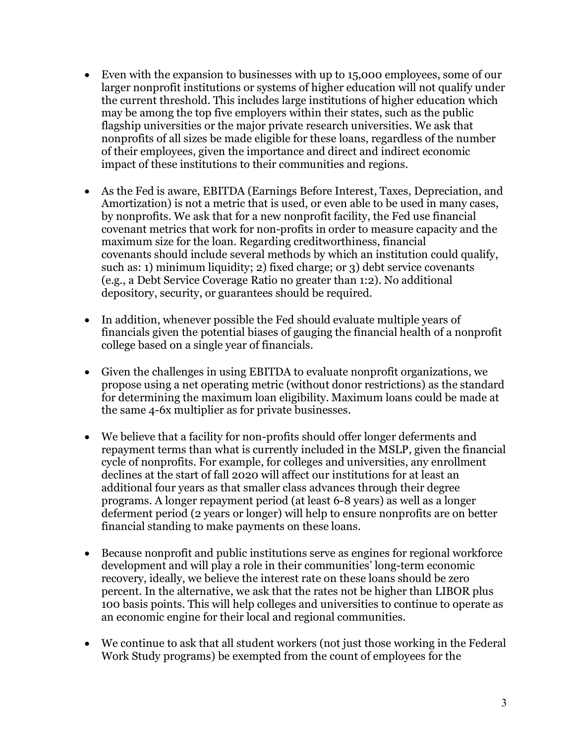- Even with the expansion to businesses with up to 15,000 employees, some of our larger nonprofit institutions or systems of higher education will not qualify under the current threshold. This includes large institutions of higher education which may be among the top five employers within their states, such as the public flagship universities or the major private research universities. We ask that nonprofits of all sizes be made eligible for these loans, regardless of the number of their employees, given the importance and direct and indirect economic impact of these institutions to their communities and regions.
- As the Fed is aware, EBITDA (Earnings Before Interest, Taxes, Depreciation, and Amortization) is not a metric that is used, or even able to be used in many cases, by nonprofits. We ask that for a new nonprofit facility, the Fed use financial covenant metrics that work for non-profits in order to measure capacity and the maximum size for the loan. Regarding creditworthiness, financial covenants should include several methods by which an institution could qualify, such as: 1) minimum liquidity; 2) fixed charge; or 3) debt service covenants (e.g., a Debt Service Coverage Ratio no greater than 1:2). No additional depository, security, or guarantees should be required.
- In addition, whenever possible the Fed should evaluate multiple years of financials given the potential biases of gauging the financial health of a nonprofit college based on a single year of financials.
- Given the challenges in using EBITDA to evaluate nonprofit organizations, we propose using a net operating metric (without donor restrictions) as the standard for determining the maximum loan eligibility. Maximum loans could be made at the same 4-6x multiplier as for private businesses.
- We believe that a facility for non-profits should offer longer deferments and repayment terms than what is currently included in the MSLP, given the financial cycle of nonprofits. For example, for colleges and universities, any enrollment declines at the start of fall 2020 will affect our institutions for at least an additional four years as that smaller class advances through their degree programs. A longer repayment period (at least 6-8 years) as well as a longer deferment period (2 years or longer) will help to ensure nonprofits are on better financial standing to make payments on these loans.
- Because nonprofit and public institutions serve as engines for regional workforce development and will play a role in their communities' long-term economic recovery, ideally, we believe the interest rate on these loans should be zero percent. In the alternative, we ask that the rates not be higher than LIBOR plus 100 basis points. This will help colleges and universities to continue to operate as an economic engine for their local and regional communities.
- We continue to ask that all student workers (not just those working in the Federal Work Study programs) be exempted from the count of employees for the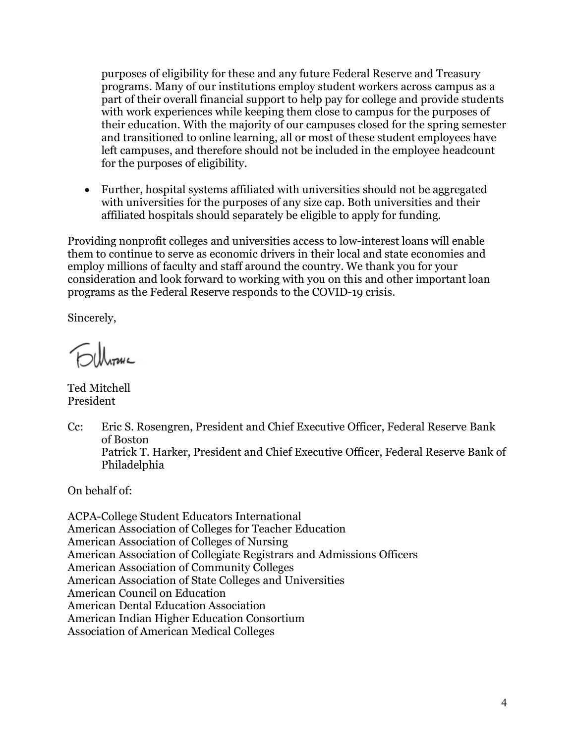purposes of eligibility for these and any future Federal Reserve and Treasury programs. Many of our institutions employ student workers across campus as a part of their overall financial support to help pay for college and provide students with work experiences while keeping them close to campus for the purposes of their education. With the majority of our campuses closed for the spring semester and transitioned to online learning, all or most of these student employees have left campuses, and therefore should not be included in the employee headcount for the purposes of eligibility.

• Further, hospital systems affiliated with universities should not be aggregated with universities for the purposes of any size cap. Both universities and their affiliated hospitals should separately be eligible to apply for funding.

Providing nonprofit colleges and universities access to low-interest loans will enable them to continue to serve as economic drivers in their local and state economies and employ millions of faculty and staff around the country. We thank you for your consideration and look forward to working with you on this and other important loan programs as the Federal Reserve responds to the COVID-19 crisis.

Sincerely,

**Elleranc** 

Ted Mitchell President

Cc: Eric S. Rosengren, President and Chief Executive Officer, Federal Reserve Bank of Boston Patrick T. Harker, President and Chief Executive Officer, Federal Reserve Bank of Philadelphia

On behalf of:

ACPA-College Student Educators International American Association of Colleges for Teacher Education American Association of Colleges of Nursing American Association of Collegiate Registrars and Admissions Officers American Association of Community Colleges American Association of State Colleges and Universities American Council on Education American Dental Education Association American Indian Higher Education Consortium Association of American Medical Colleges